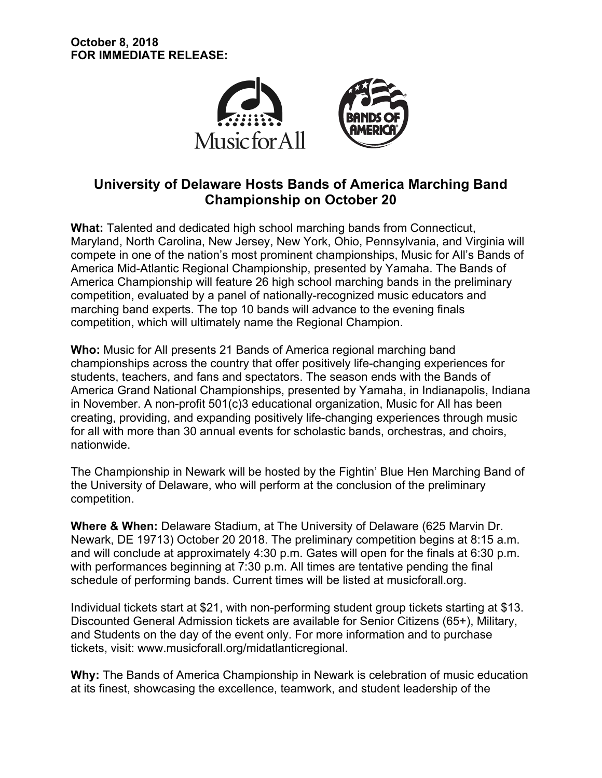

# **University of Delaware Hosts Bands of America Marching Band Championship on October 20**

**What:** Talented and dedicated high school marching bands from Connecticut, Maryland, North Carolina, New Jersey, New York, Ohio, Pennsylvania, and Virginia will compete in one of the nation's most prominent championships, Music for All's Bands of America Mid-Atlantic Regional Championship, presented by Yamaha. The Bands of America Championship will feature 26 high school marching bands in the preliminary competition, evaluated by a panel of nationally-recognized music educators and marching band experts. The top 10 bands will advance to the evening finals competition, which will ultimately name the Regional Champion.

**Who:** Music for All presents 21 Bands of America regional marching band championships across the country that offer positively life-changing experiences for students, teachers, and fans and spectators. The season ends with the Bands of America Grand National Championships, presented by Yamaha, in Indianapolis, Indiana in November. A non-profit 501(c)3 educational organization, Music for All has been creating, providing, and expanding positively life-changing experiences through music for all with more than 30 annual events for scholastic bands, orchestras, and choirs, nationwide.

The Championship in Newark will be hosted by the Fightin' Blue Hen Marching Band of the University of Delaware, who will perform at the conclusion of the preliminary competition.

**Where & When:** Delaware Stadium, at The University of Delaware (625 Marvin Dr. Newark, DE 19713) October 20 2018. The preliminary competition begins at 8:15 a.m. and will conclude at approximately 4:30 p.m. Gates will open for the finals at 6:30 p.m. with performances beginning at 7:30 p.m. All times are tentative pending the final schedule of performing bands. Current times will be listed at musicforall.org.

Individual tickets start at \$21, with non-performing student group tickets starting at \$13. Discounted General Admission tickets are available for Senior Citizens (65+), Military, and Students on the day of the event only. For more information and to purchase tickets, visit: www.musicforall.org/midatlanticregional.

**Why:** The Bands of America Championship in Newark is celebration of music education at its finest, showcasing the excellence, teamwork, and student leadership of the